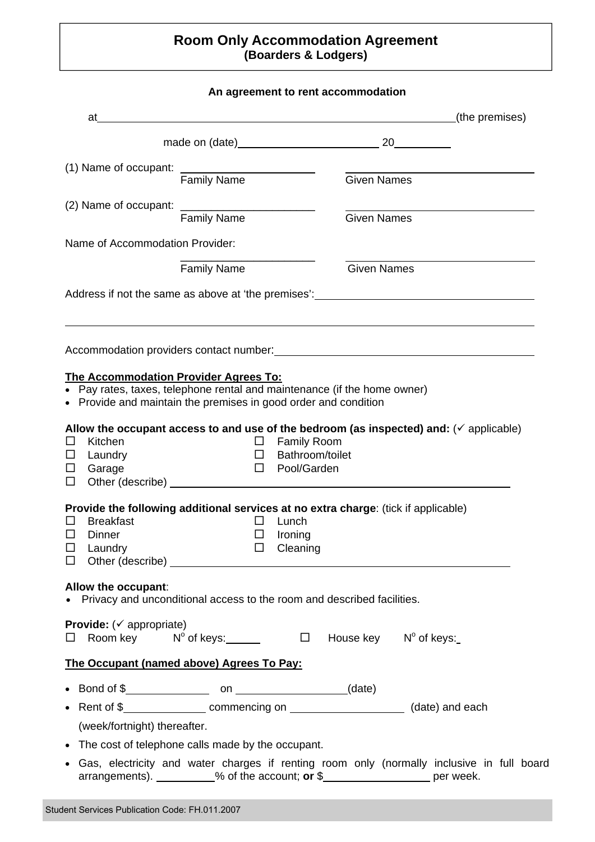# **Room Only Accommodation Agreement (Boarders & Lodgers)**

|                                                                                                                                                                                                                                                |        |                        | An agreement to rent accommodation |                |
|------------------------------------------------------------------------------------------------------------------------------------------------------------------------------------------------------------------------------------------------|--------|------------------------|------------------------------------|----------------|
| at <u>example and the set of the set of the set of the set of the set of the set of the set of the set of the set of the set of the set of the set of the set of the set of the set of the set of the set of the set of the set </u>           |        |                        |                                    | (the premises) |
|                                                                                                                                                                                                                                                |        |                        |                                    |                |
|                                                                                                                                                                                                                                                |        |                        |                                    |                |
| (1) Name of occupant: Family Name                                                                                                                                                                                                              |        |                        | <b>Given Names</b>                 |                |
|                                                                                                                                                                                                                                                |        |                        |                                    |                |
| <b>Family Name</b>                                                                                                                                                                                                                             |        |                        | <b>Given Names</b>                 |                |
| Name of Accommodation Provider:                                                                                                                                                                                                                |        |                        |                                    |                |
| <b>Family Name</b>                                                                                                                                                                                                                             |        |                        | <b>Given Names</b>                 |                |
|                                                                                                                                                                                                                                                |        |                        |                                    |                |
|                                                                                                                                                                                                                                                |        |                        |                                    |                |
|                                                                                                                                                                                                                                                |        |                        |                                    |                |
|                                                                                                                                                                                                                                                |        |                        |                                    |                |
|                                                                                                                                                                                                                                                |        |                        |                                    |                |
| The Accommodation Provider Agrees To:                                                                                                                                                                                                          |        |                        |                                    |                |
| • Pay rates, taxes, telephone rental and maintenance (if the home owner)                                                                                                                                                                       |        |                        |                                    |                |
| • Provide and maintain the premises in good order and condition                                                                                                                                                                                |        |                        |                                    |                |
| Allow the occupant access to and use of the bedroom (as inspected) and: $(\check{ } )$ applicable)                                                                                                                                             |        |                        |                                    |                |
| Kitchen<br>$\Box$                                                                                                                                                                                                                              |        | $\Box$ Family Room     |                                    |                |
| Laundry<br>$\Box$                                                                                                                                                                                                                              |        | $\Box$ Bathroom/toilet |                                    |                |
| Garage<br>$\Box$                                                                                                                                                                                                                               |        | □ Pool/Garden          |                                    |                |
| $\Box$                                                                                                                                                                                                                                         |        |                        |                                    |                |
| Provide the following additional services at no extra charge: (tick if applicable)                                                                                                                                                             |        |                        |                                    |                |
| <b>Breakfast</b><br>Ш                                                                                                                                                                                                                          |        | $\Box$ Lunch           |                                    |                |
| $\Box$<br>Dinner                                                                                                                                                                                                                               |        | $\square$ Ironing      |                                    |                |
| Laundry<br>$\Box$                                                                                                                                                                                                                              | $\Box$ | Cleaning               |                                    |                |
| $\Box$<br>Other (describe) <u>example and the set of the set of the set of the set of the set of the set of the set of the set of the set of the set of the set of the set of the set of the set of the set of the set of the set of the s</u> |        |                        |                                    |                |
| Allow the occupant:                                                                                                                                                                                                                            |        |                        |                                    |                |
| Privacy and unconditional access to the room and described facilities.                                                                                                                                                                         |        |                        |                                    |                |
| <b>Provide:</b> $(\checkmark)$ appropriate)                                                                                                                                                                                                    |        |                        |                                    |                |
| Room key $N^{\circ}$ of keys: $\square$ House key $N^{\circ}$ of keys:<br>ப                                                                                                                                                                    |        |                        |                                    |                |
|                                                                                                                                                                                                                                                |        |                        |                                    |                |
| The Occupant (named above) Agrees To Pay:                                                                                                                                                                                                      |        |                        |                                    |                |
|                                                                                                                                                                                                                                                |        |                        |                                    |                |
| • Rent of \$____________________ commencing on ________________________(date) and each                                                                                                                                                         |        |                        |                                    |                |
| (week/fortnight) thereafter.                                                                                                                                                                                                                   |        |                        |                                    |                |
| • The cost of telephone calls made by the occupant.                                                                                                                                                                                            |        |                        |                                    |                |
| Gas, electricity and water charges if renting room only (normally inclusive in full board<br>$\bullet$<br>arrangements). __________% of the account; or \$____________________ per week.                                                       |        |                        |                                    |                |